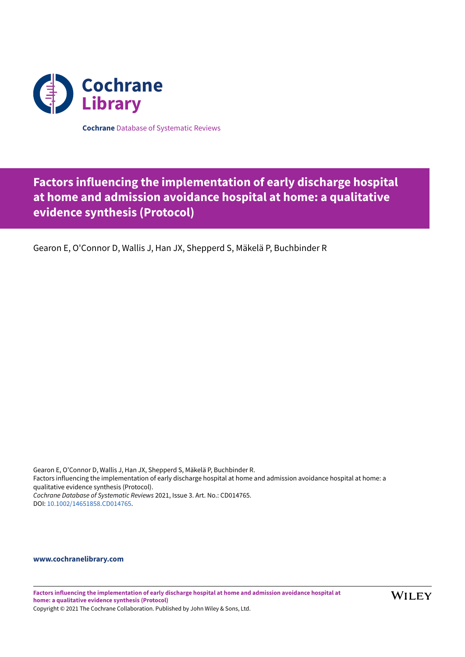

**Cochrane** Database of Systematic Reviews

# **Factors influencing the implementation of early discharge hospital at home and admission avoidance hospital at home: a qualitative evidence synthesis (Protocol)**

Gearon E, O'Connor D, Wallis J, Han JX, Shepperd S, Mäkelä P, Buchbinder R

Gearon E, O'Connor D, Wallis J, Han JX, Shepperd S, Mäkelä P, Buchbinder R. Factors influencing the implementation of early discharge hospital at home and admission avoidance hospital at home: a qualitative evidence synthesis (Protocol). *Cochrane Database of Systematic Reviews* 2021, Issue 3. Art. No.: CD014765. DOI: [10.1002/14651858.CD014765](https://doi.org/10.1002%2F14651858.CD014765).

# **[www.cochranelibrary.com](https://www.cochranelibrary.com)**

**Factors influencing the implementation of early discharge hospital at home and admission avoidance hospital at home: a qualitative evidence synthesis (Protocol)**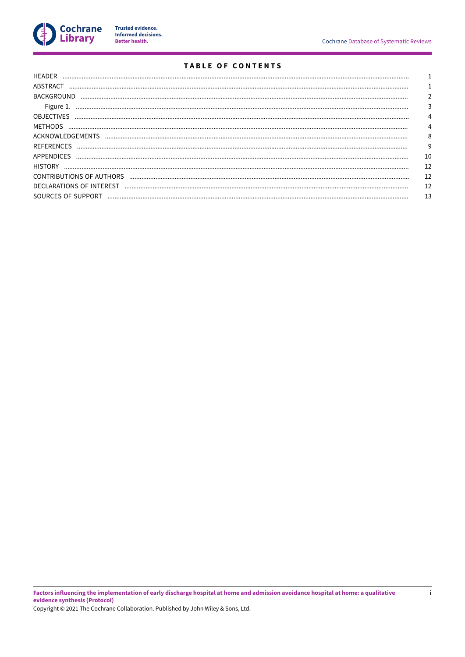

Trusted evidence.<br>Informed decisions.<br>Better health.

 $\mathbf{i}$ 

# **TABLE OF CONTENTS**

| HEADER             |    |
|--------------------|----|
| ABSTRACT           |    |
| <b>BACKGROUND</b>  |    |
| Figure 1.          |    |
| <b>OBJECTIVES</b>  |    |
| <b>MFTHODS</b>     |    |
| ACKNOWLEDGEMENTS   | 8  |
| <b>REFERENCES</b>  | 9  |
| APPENDICES         | 10 |
| <b>HISTORY</b>     |    |
|                    | 12 |
|                    |    |
| SOURCES OF SUPPORT | 13 |
|                    |    |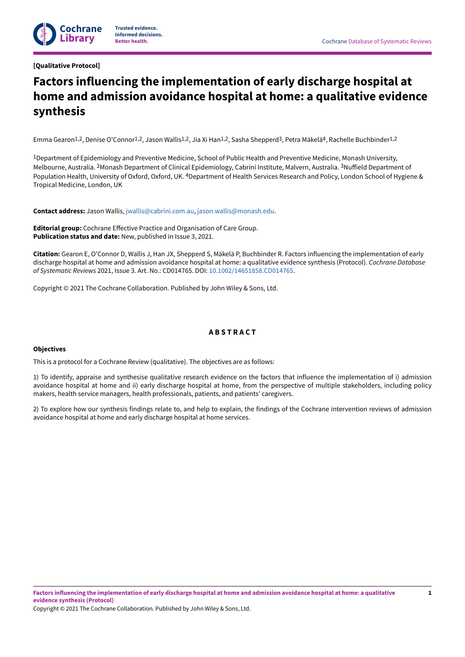# <span id="page-2-0"></span>**[Qualitative Protocol]**

# **Factors influencing the implementation of early discharge hospital at home and admission avoidance hospital at home: a qualitative evidence synthesis**

Emma Gearon<sup>1,2</sup>, Denise O'Connor<sup>1,2</sup>, Jason Wallis<sup>1,2</sup>, Jia Xi Han<sup>1,2</sup>, Sasha Shepperd<sup>3</sup>, Petra Mäkelä<sup>4</sup>, Rachelle Buchbinder<sup>1,2</sup>

1Department of Epidemiology and Preventive Medicine, School of Public Health and Preventive Medicine, Monash University, Melbourne, Australia. <sup>2</sup>Monash Department of Clinical Epidemiology, Cabrini Institute, Malvern, Australia. <sup>3</sup>Nuffield Department of Population Health, University of Oxford, Oxford, UK. <sup>4</sup>Department of Health Services Research and Policy, London School of Hygiene & Tropical Medicine, London, UK

**Contact address:** Jason Wallis, [jwallis@cabrini.com.au,](mailto:jwallis@cabrini.com.au) [jason.wallis@monash.edu](mailto:jason.wallis@monash.edu).

**Editorial group:** Cochrane EFective Practice and Organisation of Care Group. **Publication status and date:** New, published in Issue 3, 2021.

**Citation:** Gearon E, O'Connor D, Wallis J, Han JX, Shepperd S, Mäkelä P, Buchbinder R. Factors influencing the implementation of early discharge hospital at home and admission avoidance hospital at home: a qualitative evidence synthesis (Protocol). *Cochrane Database of Systematic Reviews* 2021, Issue 3. Art. No.: CD014765. DOI: [10.1002/14651858.CD014765.](https://doi.org/10.1002%2F14651858.CD014765)

Copyright © 2021 The Cochrane Collaboration. Published by John Wiley & Sons, Ltd.

# **A B S T R A C T**

# <span id="page-2-1"></span>**Objectives**

This is a protocol for a Cochrane Review (qualitative). The objectives are as follows:

1) To identify, appraise and synthesise qualitative research evidence on the factors that influence the implementation of i) admission avoidance hospital at home and ii) early discharge hospital at home, from the perspective of multiple stakeholders, including policy makers, health service managers, health professionals, patients, and patients' caregivers.

2) To explore how our synthesis findings relate to, and help to explain, the findings of the Cochrane intervention reviews of admission avoidance hospital at home and early discharge hospital at home services.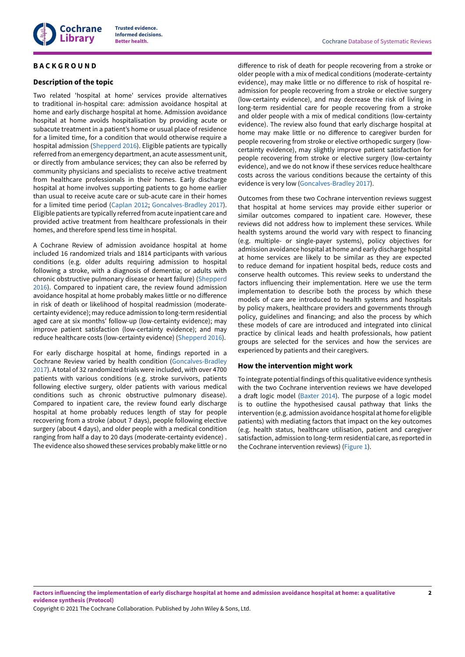

# <span id="page-3-0"></span>**B A C K G R O U N D**

#### **Description of the topic**

Two related 'hospital at home' services provide alternatives to traditional in-hospital care: admission avoidance hospital at home and early discharge hospital at home. Admission avoidance hospital at home avoids hospitalisation by providing acute or subacute treatment in a patient's home or usual place of residence for a limited time, for a condition that would otherwise require a hospital admission ([Shepperd](#page-11-1) 2016). Eligible patients are typically referred from an emergency department, an acute assessment unit, or directly from ambulance services; they can also be referred by community physicians and specialists to receive active treatment from healthcare professionals in their homes. Early discharge hospital at home involves supporting patients to go home earlier than usual to receive acute care or sub-acute care in their homes for a limited time period ([Caplan 2012;](#page-10-1) [Goncalves-Bradley](#page-10-2) 2017). Eligible patients are typically referred from acute inpatient care and provided active treatment from healthcare professionals in their homes, and therefore spend less time in hospital.

A Cochrane Review of admission avoidance hospital at home included 16 randomized trials and 1814 participants with various conditions (e.g. older adults requiring admission to hospital following a stroke, with a diagnosis of dementia; or adults with chronic obstructive pulmonary disease or heart failure) ([Shepperd](#page-11-1) [2016](#page-11-1)). Compared to inpatient care, the review found admission avoidance hospital at home probably makes little or no difference in risk of death or likelihood of hospital readmission (moderatecertainty evidence); may reduce admission to long-term residential aged care at six months' follow-up (low-certainty evidence); may improve patient satisfaction (low-certainty evidence); and may reduce healthcare costs (low-certainty evidence) ([Shepperd](#page-11-1) 2016).

For early discharge hospital at home, findings reported in a Cochrane Review varied by health condition [\(Goncalves-Bradley](#page-10-2) [2017](#page-10-2)). A total of 32 randomized trials were included, with over 4700 patients with various conditions (e.g. stroke survivors, patients following elective surgery, older patients with various medical conditions such as chronic obstructive pulmonary disease). Compared to inpatient care, the review found early discharge hospital at home probably reduces length of stay for people recovering from a stroke (about 7 days), people following elective surgery (about 4 days), and older people with a medical condition ranging from half a day to 20 days (moderate-certainty evidence) . The evidence also showed these services probably make little or no

diFerence to risk of death for people recovering from a stroke or older people with a mix of medical conditions (moderate-certainty evidence), may make little or no difference to risk of hospital readmission for people recovering from a stroke or elective surgery (low-certainty evidence), and may decrease the risk of living in long-term residential care for people recovering from a stroke and older people with a mix of medical conditions (low-certainty evidence). The review also found that early discharge hospital at home may make little or no difference to caregiver burden for people recovering from stroke or elective orthopedic surgery (lowcertainty evidence), may slightly improve patient satisfaction for people recovering from stroke or elective surgery (low-certainty evidence), and we do not know if these services reduce healthcare costs across the various conditions because the certainty of this evidence is very low [\(Goncalves-Bradley](#page-10-2) 2017).

Outcomes from these two Cochrane intervention reviews suggest that hospital at home services may provide either superior or similar outcomes compared to inpatient care. However, these reviews did not address how to implement these services. While health systems around the world vary with respect to financing (e.g. multiple- or single-payer systems), policy objectives for admission avoidance hospital at home and early discharge hospital at home services are likely to be similar as they are expected to reduce demand for inpatient hospital beds, reduce costs and conserve health outcomes. This review seeks to understand the factors influencing their implementation. Here we use the term implementation to describe both the process by which these models of care are introduced to health systems and hospitals by policy makers, healthcare providers and governments through policy, guidelines and financing; and also the process by which these models of care are introduced and integrated into clinical practice by clinical leads and health professionals, how patient groups are selected for the services and how the services are experienced by patients and their caregivers.

#### **How the intervention might work**

To integrate potential findings of this qualitative evidence synthesis with the two Cochrane intervention reviews we have developed a draft logic model [\(Baxter](#page-10-3) 2014). The purpose of a logic model is to outline the hypothesised causal pathway that links the intervention (e.g. admission avoidance hospital at home for eligible patients) with mediating factors that impact on the key outcomes (e.g. health status, healthcare utilisation, patient and caregiver satisfaction, admission to long-term residential care, as reported in the Cochrane intervention reviews) ([Figure](#page-4-0) 1).

Factors influencing the implementation of early discharge hospital at home and admission avoidance hospital at home: a qualitative **evidence synthesis (Protocol)**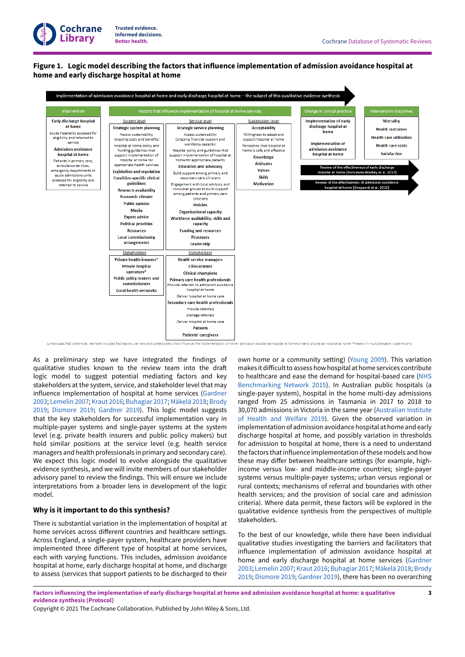# <span id="page-4-0"></span>**Figure 1. Logic model describing the factors that influence implementation of admission avoidance hospital at home and early discharge hospital at home**



As a preliminary step we have integrated the findings of qualitative studies known to the review team into the draft logic model to suggest potential mediating factors and key stakeholders at the system, service, and stakeholder level that may influence implementation of hospital at home services ([Gardner](#page-10-4) [2003](#page-10-4); [Lemelin](#page-11-2) 2007; [Kraut](#page-10-5) 2016; [Buhagiar 2017;](#page-10-6) [Mäkelä](#page-11-3) 2018; [Brody](#page-10-7) [2019](#page-10-7); [Dismore](#page-10-8) 2019; [Gardner](#page-10-9) 2019). This logic model suggests that the key stakeholders for successful implementation vary in multiple-payer systems and single-payer systems at the system level (e.g. private health insurers and public policy makers) but hold similar positions at the service level (e.g. health service managers and health professionals in primary and secondary care). We expect this logic model to evolve alongside the qualitative evidence synthesis, and we will invite members of our stakeholder advisory panel to review the findings. This will ensure we include interpretations from a broader lens in development of the logic model.

# **Why is it important to do this synthesis?**

There is substantial variation in the implementation of hospital at home services across different countries and healthcare settings. Across England, a single-payer system, healthcare providers have implemented three different type of hospital at home services, each with varying functions. This includes, admission avoidance hospital at home, early discharge hospital at home, and discharge to assess (services that support patients to be discharged to their own home or a community setting) [\(Young](#page-11-4) 2009). This variation makes it difficult to assess how hospital at home services contribute to healthcare and ease the demand for hospital-based care [\(NHS](#page-11-5) [Benchmarking](#page-11-5) Network 2015). In Australian public hospitals (a single-payer system), hospital in the home multi-day admissions ranged from 25 admissions in Tasmania in 2017 to 2018 to 30,070 admissions in Victoria in the same year ([Australian](#page-10-10) Institute of Health and [Welfare](#page-10-10) 2019). Given the observed variation in implementation of admission avoidance hospital at home and early discharge hospital at home, and possibly variation in thresholds for admission to hospital at home, there is a need to understand the factors thatinfluence implementation ofthese models and how these may differ between healthcare settings (for example, highincome versus low- and middle-income countries; single-payer systems versus multiple-payer systems; urban versus regional or rural contexts; mechanisms of referral and boundaries with other health services; and the provision of social care and admission criteria). Where data permit, these factors will be explored in the qualitative evidence synthesis from the perspectives of multiple stakeholders.

To the best of our knowledge, while there have been individual qualitative studies investigating the barriers and facilitators that influence implementation of admission avoidance hospital at home and early discharge hospital at home services [\(Gardner](#page-10-4) [2003;](#page-10-4) [Lemelin](#page-11-2) 2007; [Kraut](#page-10-5) 2016; [Buhagiar 2017;](#page-10-6) [Mäkelä](#page-11-3) 2018; [Brody](#page-10-7) [2019;](#page-10-7) [Dismore](#page-10-8) 2019; [Gardner](#page-10-9) 2019), there has been no overarching

Factors influencing the implementation of early discharge hospital at home and admission avoidance hospital at home: a qualitative **evidence synthesis (Protocol)**

Copyright © 2021 The Cochrane Collaboration. Published by John Wiley & Sons, Ltd.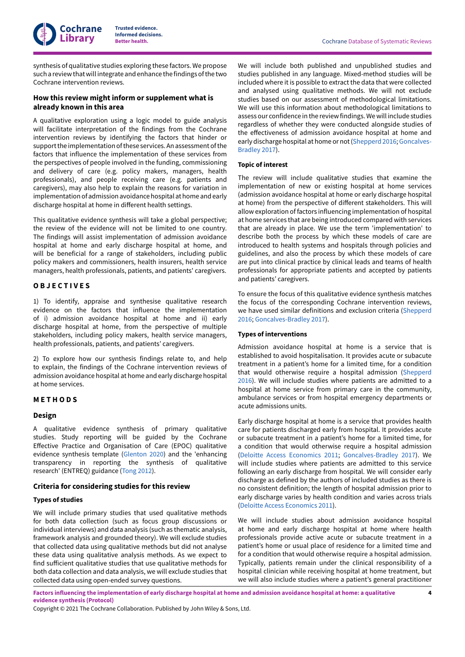**Cochrane Library**

synthesis of qualitative studies exploring these factors. We propose such a review that will integrate and enhance the findings of the two Cochrane intervention reviews.

# **How this review might inform or supplement what is already known in this area**

A qualitative exploration using a logic model to guide analysis will facilitate interpretation of the findings from the Cochrane intervention reviews by identifying the factors that hinder or support the implementation of these services. An assessment of the factors that influence the implementation of these services from the perspectives of people involved in the funding, commissioning and delivery of care (e.g. policy makers, managers, health professionals), and people receiving care (e.g. patients and caregivers), may also help to explain the reasons for variation in implementation of admission avoidance hospital at home and early discharge hospital at home in diFerent health settings.

This qualitative evidence synthesis will take a global perspective; the review of the evidence will not be limited to one country. The findings will assist implementation of admission avoidance hospital at home and early discharge hospital at home, and will be beneficial for a range of stakeholders, including public policy makers and commissioners, health insurers, health service managers, health professionals, patients, and patients' caregivers.

#### <span id="page-5-0"></span>**O B J E C T I V E S**

1) To identify, appraise and synthesise qualitative research evidence on the factors that influence the implementation of i) admission avoidance hospital at home and ii) early discharge hospital at home, from the perspective of multiple stakeholders, including policy makers, health service managers, health professionals, patients, and patients' caregivers.

2) To explore how our synthesis findings relate to, and help to explain, the findings of the Cochrane intervention reviews of admission avoidance hospital at home and early discharge hospital at home services.

# <span id="page-5-1"></span>**M E T H O D S**

#### **Design**

A qualitative evidence synthesis of primary qualitative studies. Study reporting will be guided by the Cochrane EFective Practice and Organisation of Care (EPOC) qualitative evidence synthesis template [\(Glenton](#page-10-11) 2020) and the 'enhancing transparency in reporting the synthesis of qualitative research' (ENTREQ) guidance [\(Tong](#page-11-6) 2012).

#### **Criteria for considering studies for this review**

#### **Types of studies**

We will include primary studies that used qualitative methods for both data collection (such as focus group discussions or individual interviews) and data analysis (such as thematic analysis, framework analysis and grounded theory). We will exclude studies that collected data using qualitative methods but did not analyse these data using qualitative analysis methods. As we expect to find suFicient qualitative studies that use qualitative methods for both data collection and data analysis, we will exclude studies that collected data using open-ended survey questions.

We will include both published and unpublished studies and studies published in any language. Mixed-method studies will be included where it is possible to extract the data that were collected and analysed using qualitative methods. We will not exclude studies based on our assessment of methodological limitations. We will use this information about methodological limitations to assess our confidence in the review findings.We will include studies regardless of whether they were conducted alongside studies of the eFectiveness of admission avoidance hospital at home and early discharge hospital at home or not ([Shepperd](#page-11-1) 2016; [Goncalves-](#page-10-2)[Bradley](#page-10-2) 2017).

#### **Topic of interest**

The review will include qualitative studies that examine the implementation of new or existing hospital at home services (admission avoidance hospital at home or early discharge hospital at home) from the perspective of different stakeholders. This will allow exploration of factors influencing implementation of hospital at home services that are being introduced compared with services that are already in place. We use the term 'implementation' to describe both the process by which these models of care are introduced to health systems and hospitals through policies and guidelines, and also the process by which these models of care are put into clinical practice by clinical leads and teams of health professionals for appropriate patients and accepted by patients and patients' caregivers.

To ensure the focus of this qualitative evidence synthesis matches the focus of the corresponding Cochrane intervention reviews, we have used similar definitions and exclusion criteria [\(Shepperd](#page-11-1) [2016;](#page-11-1) [Goncalves-Bradley](#page-10-2) 2017).

#### **Types of interventions**

Admission avoidance hospital at home is a service that is established to avoid hospitalisation. It provides acute or subacute treatment in a patient's home for a limited time, for a condition that would otherwise require a hospital admission [\(Shepperd](#page-11-1) [2016\)](#page-11-1). We will include studies where patients are admitted to a hospital at home service from primary care in the community, ambulance services or from hospital emergency departments or acute admissions units.

Early discharge hospital at home is a service that provides health care for patients discharged early from hospital. It provides acute or subacute treatment in a patient's home for a limited time, for a condition that would otherwise require a hospital admission (Deloitte Access [Economics](#page-10-12) 2011; [Goncalves-Bradley](#page-10-2) 2017). We will include studies where patients are admitted to this service following an early discharge from hospital. We will consider early discharge as defined by the authors of included studies as there is no consistent definition; the length of hospital admission prior to early discharge varies by health condition and varies across trials (Deloitte Access [Economics](#page-10-12) 2011).

We will include studies about admission avoidance hospital at home and early discharge hospital at home where health professionals provide active acute or subacute treatment in a patient's home or usual place of residence for a limited time and for a condition that would otherwise require a hospital admission. Typically, patients remain under the clinical responsibility of a hospital clinician while receiving hospital at home treatment, but we will also include studies where a patient's general practitioner

Factors influencing the implementation of early discharge hospital at home and admission avoidance hospital at home: a qualitative **evidence synthesis (Protocol)**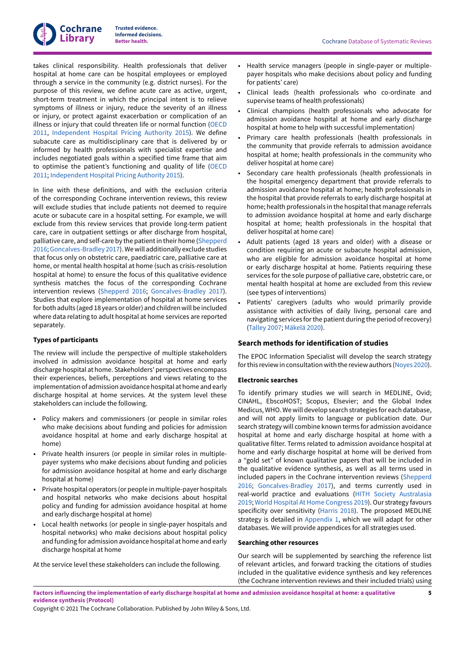

takes clinical responsibility. Health professionals that deliver hospital at home care can be hospital employees or employed through a service in the community (e.g. district nurses). For the purpose of this review, we define acute care as active, urgent, short-term treatment in which the principal intent is to relieve symptoms of illness or injury, reduce the severity of an illness or injury, or protect against exacerbation or complication of an illness or injury that could threaten life or normal function [\(OECD](#page-11-7) [2011](#page-11-7), [Independent](#page-10-13) Hospital Pricing Authority 2015). We define subacute care as multidisciplinary care that is delivered by or informed by health professionals with specialist expertise and includes negotiated goals within a specified time frame that aim to optimise the patient's functioning and quality of life [\(OECD](#page-11-7) [2011](#page-11-7); [Independent](#page-10-13) Hospital Pricing Authority 2015).

In line with these definitions, and with the exclusion criteria of the corresponding Cochrane intervention reviews, this review will exclude studies that include patients not deemed to require acute or subacute care in a hospital setting. For example, we will exclude from this review services that provide long-term patient care, care in outpatient settings or after discharge from hospital, palliative care, and self-care by the patientin their home ([Shepperd](#page-11-1) [2016](#page-11-1); [Goncalves-Bradley](#page-10-2) 2017).Wewill additionally exclude studies that focus only on obstetric care, paediatric care, palliative care at home, or mental health hospital at home (such as crisis-resolution hospital at home) to ensure the focus of this qualitative evidence synthesis matches the focus of the corresponding Cochrane intervention reviews ([Shepperd](#page-11-1) 2016; [Goncalves-Bradley](#page-10-2) 2017). Studies that explore implementation of hospital at home services for both adults (aged 18 years or older) and childrenwill be included where data relating to adult hospital at home services are reported separately.

# **Types of participants**

The review will include the perspective of multiple stakeholders involved in admission avoidance hospital at home and early discharge hospital at home. Stakeholders' perspectives encompass their experiences, beliefs, perceptions and views relating to the implementation of admission avoidance hospital at home and early discharge hospital at home services. At the system level these stakeholders can include the following.

- Policy makers and commissioners (or people in similar roles who make decisions about funding and policies for admission avoidance hospital at home and early discharge hospital at home)
- Private health insurers (or people in similar roles in multiplepayer systems who make decisions about funding and policies for admission avoidance hospital at home and early discharge hospital at home)
- Private hospital operators (or people in multiple-payer hospitals and hospital networks who make decisions about hospital policy and funding for admission avoidance hospital at home and early discharge hospital at home)
- Local health networks (or people in single-payer hospitals and hospital networks) who make decisions about hospital policy and funding for admission avoidance hospital at home and early discharge hospital at home

At the service level these stakeholders can include the following.

- Health service managers (people in single-payer or multiplepayer hospitals who make decisions about policy and funding for patients' care)
- Clinical leads (health professionals who co-ordinate and supervise teams of health professionals)
- Clinical champions (health professionals who advocate for admission avoidance hospital at home and early discharge hospital at home to help with successful implementation)
- Primary care health professionals (health professionals in the community that provide referrals to admission avoidance hospital at home; health professionals in the community who deliver hospital at home care)
- Secondary care health professionals (health professionals in the hospital emergency department that provide referrals to admission avoidance hospital at home; health professionals in the hospital that provide referrals to early discharge hospital at home; health professionals in the hospital that manage referrals to admission avoidance hospital at home and early discharge hospital at home; health professionals in the hospital that deliver hospital at home care)
- Adult patients (aged 18 years and older) with a disease or condition requiring an acute or subacute hospital admission, who are eligible for admission avoidance hospital at home or early discharge hospital at home. Patients requiring these services for the sole purpose of palliative care, obstetric care, or mental health hospital at home are excluded from this review (see types of interventions)
- Patients' caregivers (adults who would primarily provide assistance with activities of daily living, personal care and navigating services forthe patient during the period ofrecovery) ([Talley](#page-11-8) 2007; [Mäkelä](#page-11-9) 2020).

# **Search methods for identification of studies**

The EPOC Information Specialist will develop the search strategy for this review in consultation with the review authors ([Noyes](#page-11-10) 2020).

#### **Electronic searches**

To identify primary studies we will search in MEDLINE, Ovid; CINAHL, EbscoHOST; Scopus, Elsevier; and the Global Index Medicus,WHO.We will develop search strategies for each database, and will not apply limits to language or publication date. Our search strategy will combine known terms for admission avoidance hospital at home and early discharge hospital at home with a qualitative filter. Terms related to admission avoidance hospital at home and early discharge hospital at home will be derived from a "gold set" of known qualitative papers that will be included in the qualitative evidence synthesis, as well as all terms used in included papers in the Cochrane intervention reviews [\(Shepperd](#page-11-1) [2016;](#page-11-1) [Goncalves-Bradley](#page-10-2) 2017), and terms currently used in real-world practice and evaluations (HITH Society [Australasia](#page-10-14) [2019;](#page-10-14) World Hospital At Home [Congress](#page-11-11) 2019). Our strategy favours specificity over sensitivity ([Harris 2018\)](#page-10-15). The proposed MEDLINE strategy is detailed in [Appendix 1](#page-11-12), which we will adapt for other databases. We will provide appendices for all strategies used.

#### **Searching other resources**

Our search will be supplemented by searching the reference list of relevant articles, and forward tracking the citations of studies included in the qualitative evidence synthesis and key references (the Cochrane intervention reviews and their included trials) using

Factors influencing the implementation of early discharge hospital at home and admission avoidance hospital at home: a qualitative **evidence synthesis (Protocol)**

Copyright © 2021 The Cochrane Collaboration. Published by John Wiley & Sons, Ltd.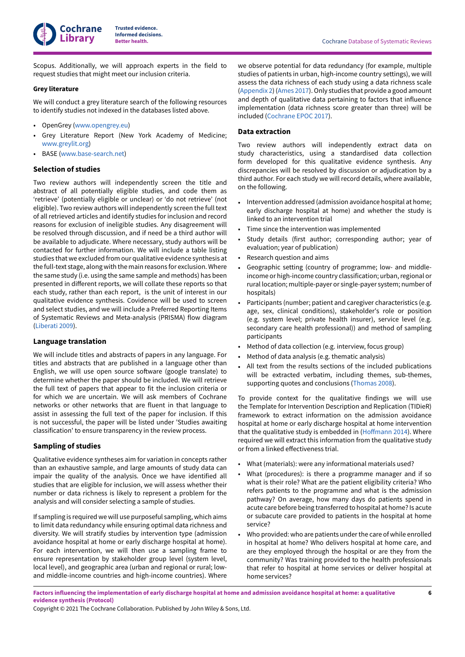Scopus. Additionally, we will approach experts in the field to request studies that might meet our inclusion criteria.

# **Grey literature**

We will conduct a grey literature search of the following resources to identify studies not indexed in the databases listed above.

- OpenGrey [\(www.opengrey.eu\)](http://www.opengrey.eu)
- Grey Literature Report (New York Academy of Medicine; [www.greylit.org\)](http://www.greylit.org)
- BASE [\(www.base-search.net](https://www.base-search.net/))

# **Selection of studies**

Two review authors will independently screen the title and abstract of all potentially eligible studies, and code them as 'retrieve' (potentially eligible or unclear) or 'do not retrieve' (not eligible). Two review authors will independently screen the full text of all retrieved articles and identify studies for inclusion and record reasons for exclusion of ineligible studies. Any disagreement will be resolved through discussion, and if need be a third author will be available to adjudicate. Where necessary, study authors will be contacted for further information. We will include a table listing studies that we excluded from our qualitative evidence synthesis at the full-text stage, along with the main reasons for exclusion.Where the same study (i.e. using the same sample and methods) has been presented in diFerent reports, we will collate these reports so that each study, rather than each report, is the unit of interest in our qualitative evidence synthesis. Covidence will be used to screen and select studies, and we will include a Preferred Reporting Items of Systematic Reviews and Meta-analysis (PRISMA) flow diagram [\(Liberati](#page-11-13) 2009).

# **Language translation**

We will include titles and abstracts of papers in any language. For titles and abstracts that are published in a language other than English, we will use open source software (google translate) to determine whether the paper should be included. We will retrieve the full text of papers that appear to fit the inclusion criteria or for which we are uncertain. We will ask members of Cochrane networks or other networks that are fluent in that language to assist in assessing the full text of the paper for inclusion. If this is not successful, the paper will be listed under 'Studies awaiting classification' to ensure transparency in the review process.

# **Sampling of studies**

Qualitative evidence syntheses aim for variation in concepts rather than an exhaustive sample, and large amounts of study data can impair the quality of the analysis. Once we have identified all studies that are eligible for inclusion, we will assess whether their number or data richness is likely to represent a problem for the analysis and will consider selecting a sample of studies.

If sampling is required we will use purposeful sampling, which aims to limit data redundancy while ensuring optimal data richness and diversity. We will stratify studies by intervention type (admission avoidance hospital at home or early discharge hospital at home). For each intervention, we will then use a sampling frame to ensure representation by stakeholder group level (system level, local level), and geographic area (urban and regional or rural; lowand middle-income countries and high-income countries). Where

we observe potential for data redundancy (for example, multiple studies of patients in urban, high-income country settings), we will assess the data richness of each study using a data richness scale [\(Appendix 2\)](#page-13-3) ([Ames 2017\)](#page-10-16).Only studies that provide a good amount and depth of qualitative data pertaining to factors that influence implementation (data richness score greater than three) will be included [\(Cochrane](#page-10-17) EPOC 2017).

# **Data extraction**

Two review authors will independently extract data on study characteristics, using a standardised data collection form developed for this qualitative evidence synthesis. Any discrepancies will be resolved by discussion or adjudication by a third author. For each study we will record details, where available, on the following.

- Intervention addressed (admission avoidance hospital at home; early discharge hospital at home) and whether the study is linked to an intervention trial
- Time since the intervention was implemented
- Study details (first author; corresponding author; year of evaluation; year of publication)
- Research question and aims
- Geographic setting (country of programme; low- and middleincome or high-income country classification; urban, regional or rural location; multiple-payer or single-payer system; number of hospitals)
- Participants (number; patient and caregiver characteristics (e.g. age, sex, clinical conditions), stakeholder's role or position (e.g. system level; private health insurer), service level (e.g. secondary care health professional)) and method of sampling participants
- Method of data collection (e.g. interview, focus group)
- Method of data analysis (e.g. thematic analysis)
- All text from the results sections of the included publications will be extracted verbatim, including themes, sub-themes, supporting quotes and conclusions [\(Thomas 2008](#page-11-14)).

To provide context for the qualitative findings we will use the Template for Intervention Description and Replication (TIDieR) framework to extract information on the admission avoidance hospital at home or early discharge hospital at home intervention that the qualitative study is embedded in (Hoffmann 2014). Where required we will extract this information from the qualitative study or from a linked effectiveness trial.

- What (materials): were any informational materials used?
- What (procedures): is there a programme manager and if so what is their role? What are the patient eligibility criteria? Who refers patients to the programme and what is the admission pathway? On average, how many days do patients spend in acute care before being transferred to hospital at home? Is acute or subacute care provided to patients in the hospital at home service?
- Who provided: who are patients under the care of while enrolled in hospital at home? Who delivers hospital at home care, and are they employed through the hospital or are they from the community? Was training provided to the health professionals that refer to hospital at home services or deliver hospital at home services?

Factors influencing the implementation of early discharge hospital at home and admission avoidance hospital at home: a qualitative **evidence synthesis (Protocol)**

Copyright © 2021 The Cochrane Collaboration. Published by John Wiley & Sons, Ltd.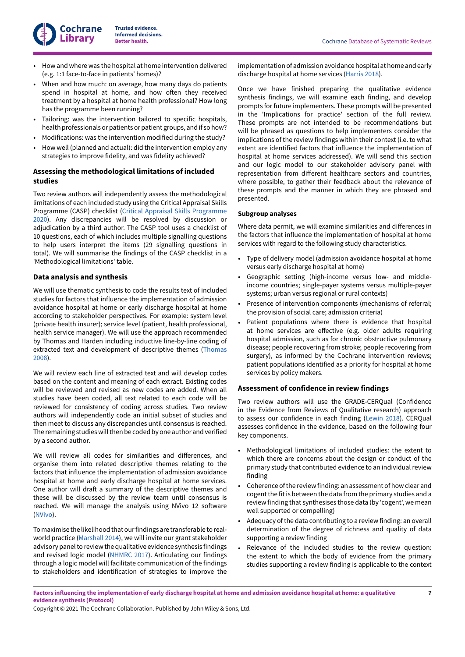

- How and where was the hospital at home intervention delivered (e.g. 1:1 face-to-face in patients' homes)?
- When and how much: on average, how many days do patients spend in hospital at home, and how often they received treatment by a hospital at home health professional? How long has the programme been running?
- Tailoring: was the intervention tailored to specific hospitals, health professionals or patients or patient groups, and if so how?
- Modifications: was the intervention modified during the study?
- How well (planned and actual): did the intervention employ any strategies to improve fidelity, and was fidelity achieved?

# **Assessing the methodological limitations of included studies**

Two review authors will independently assess the methodological limitations of each included study using the Critical Appraisal Skills Programme (CASP) checklist (Critical Appraisal Skills [Programme](#page-10-19) [2020](#page-10-19)). Any discrepancies will be resolved by discussion or adjudication by a third author. The CASP tool uses a checklist of 10 questions, each of which includes multiple signalling questions to help users interpret the items (29 signalling questions in total). We will summarise the findings of the CASP checklist in a 'Methodological limitations' table.

# **Data analysis and synthesis**

We will use thematic synthesis to code the results text of included studies for factors that influence the implementation of admission avoidance hospital at home or early discharge hospital at home according to stakeholder perspectives. For example: system level (private health insurer); service level (patient, health professional, health service manager). We will use the approach recommended by Thomas and Harden including inductive line-by-line coding of extracted text and development of descriptive themes [\(Thomas](#page-11-14) [2008](#page-11-14)).

We will review each line of extracted text and will develop codes based on the content and meaning of each extract. Existing codes will be reviewed and revised as new codes are added. When all studies have been coded, all text related to each code will be reviewed for consistency of coding across studies. Two review authors will independently code an initial subset of studies and then meet to discuss any discrepancies until consensus is reached. The remaining studies will then be coded by one author and verified by a second author.

We will review all codes for similarities and diFerences, and organise them into related descriptive themes relating to the factors that influence the implementation of admission avoidance hospital at home and early discharge hospital at home services. One author will draft a summary of the descriptive themes and these will be discussed by the review team until consensus is reached. We will manage the analysis using NVivo 12 software [\(NVivo\)](#page-11-15).

To maximise the likelihood that our findings are transferable to realworld practice ([Marshall](#page-11-16) 2014), we will invite our grant stakeholder advisory panel to review the qualitative evidence synthesis findings and revised logic model ([NHMRC 2017\)](#page-11-17). Articulating our findings through a logic model will facilitate communication of the findings to stakeholders and identification of strategies to improve the

implementation of admission avoidance hospital at home and early discharge hospital at home services ([Harris 2018](#page-10-15)).

Once we have finished preparing the qualitative evidence synthesis findings, we will examine each finding, and develop prompts for future implementers. These prompts will be presented in the 'Implications for practice' section of the full review. These prompts are not intended to be recommendations but will be phrased as questions to help implementers consider the implications of the review findings within their context (i.e. to what extent are identified factors that influence the implementation of hospital at home services addressed). We will send this section and our logic model to our stakeholder advisory panel with representation from diFerent healthcare sectors and countries, where possible, to gather their feedback about the relevance of these prompts and the manner in which they are phrased and presented.

#### **Subgroup analyses**

Where data permit, we will examine similarities and diFerences in the factors that influence the implementation of hospital at home services with regard to the following study characteristics.

- Type of delivery model (admission avoidance hospital at home versus early discharge hospital at home)
- Geographic setting (high-income versus low- and middleincome countries; single-payer systems versus multiple-payer systems; urban versus regional or rural contexts)
- Presence of intervention components (mechanisms of referral; the provision of social care; admission criteria)
- Patient populations where there is evidence that hospital at home services are effective (e.g. older adults requiring hospital admission, such as for chronic obstructive pulmonary disease; people recovering from stroke; people recovering from surgery), as informed by the Cochrane intervention reviews; patient populations identified as a priority for hospital at home services by policy makers.

# **Assessment of confidence in review findings**

Two review authors will use the GRADE-CERQual (Confidence in the Evidence from Reviews of Qualitative research) approach to assess our confidence in each finding [\(Lewin](#page-11-18) 2018). CERQual assesses confidence in the evidence, based on the following four key components.

- Methodological limitations of included studies: the extent to which there are concerns about the design or conduct of the primary study that contributed evidence to an individual review finding
- Coherence ofthe review finding: an assessment of how clear and cogent the fit is between the data from the primary studies and a review finding that synthesises those data (by 'cogent', we mean well supported or compelling)
- Adequacy of the data contributing to a review finding: an overall determination of the degree of richness and quality of data supporting a review finding
- Relevance of the included studies to the review question: the extent to which the body of evidence from the primary studies supporting a review finding is applicable to the context

Factors influencing the implementation of early discharge hospital at home and admission avoidance hospital at home: a qualitative **evidence synthesis (Protocol)**

Copyright © 2021 The Cochrane Collaboration. Published by John Wiley & Sons, Ltd.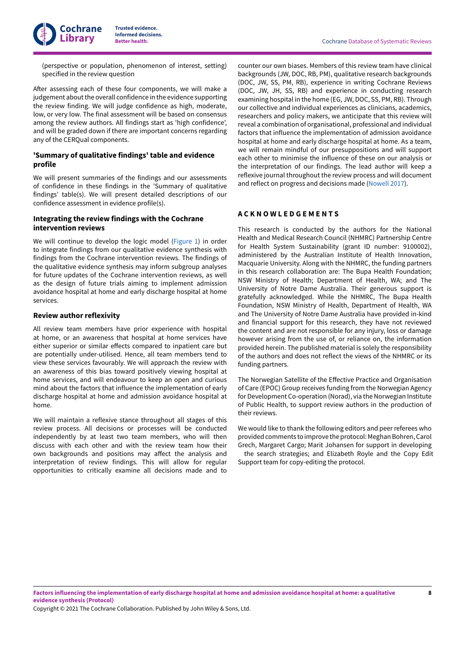(perspective or population, phenomenon of interest, setting) specified in the review question

After assessing each of these four components, we will make a judgement about the overall confidence in the evidence supporting the review finding. We will judge confidence as high, moderate, low, or very low. The final assessment will be based on consensus among the review authors. All findings start as 'high confidence', and will be graded down if there are important concerns regarding any of the CERQual components.

# **'Summary of qualitative findings' table and evidence profile**

We will present summaries of the findings and our assessments of confidence in these findings in the 'Summary of qualitative findings' table(s). We will present detailed descriptions of our confidence assessment in evidence profile(s).

# **Integrating the review findings with the Cochrane intervention reviews**

We will continue to develop the logic model [\(Figure](#page-4-0) 1) in order to integrate findings from our qualitative evidence synthesis with findings from the Cochrane intervention reviews. The findings of the qualitative evidence synthesis may inform subgroup analyses for future updates of the Cochrane intervention reviews, as well as the design of future trials aiming to implement admission avoidance hospital at home and early discharge hospital at home services.

#### **Review author reflexivity**

All review team members have prior experience with hospital at home, or an awareness that hospital at home services have either superior or similar effects compared to inpatient care but are potentially under-utilised. Hence, all team members tend to view these services favourably. We will approach the review with an awareness of this bias toward positively viewing hospital at home services, and will endeavour to keep an open and curious mind about the factors that influence the implementation of early discharge hospital at home and admission avoidance hospital at home.

We will maintain a reflexive stance throughout all stages of this review process. All decisions or processes will be conducted independently by at least two team members, who will then discuss with each other and with the review team how their own backgrounds and positions may aFect the analysis and interpretation of review findings. This will allow for regular opportunities to critically examine all decisions made and to

counter our own biases. Members of this review team have clinical backgrounds (JW, DOC, RB, PM), qualitative research backgrounds (DOC, JW, SS, PM, RB), experience in writing Cochrane Reviews (DOC, JW, JH, SS, RB) and experience in conducting research examining hospital in the home (EG, JW, DOC, SS, PM, RB). Through our collective and individual experiences as clinicians, academics, researchers and policy makers, we anticipate that this review will reveal a combination of organisational, professional and individual factors that influence the implementation of admission avoidance hospital at home and early discharge hospital at home. As a team, we will remain mindful of our presuppositions and will support each other to minimise the influence of these on our analysis or the interpretation of our findings. The lead author will keep a reflexive journal throughout the review process and will document and reflect on progress and decisions made ([Nowell](#page-11-19) 2017).

#### <span id="page-9-0"></span>**A C K N O W L E D G E M E N T S**

This research is conducted by the authors for the National Health and Medical Research Council (NHMRC) Partnership Centre for Health System Sustainability (grant ID number: 9100002), administered by the Australian Institute of Health Innovation, Macquarie University. Along with the NHMRC, the funding partners in this research collaboration are: The Bupa Health Foundation; NSW Ministry of Health; Department of Health, WA; and The University of Notre Dame Australia. Their generous support is gratefully acknowledged. While the NHMRC, The Bupa Health Foundation, NSW Ministry of Health, Department of Health, WA and The University of Notre Dame Australia have provided in-kind and financial support for this research, they have not reviewed the content and are not responsible for any injury, loss or damage however arising from the use of, or reliance on, the information provided herein. The published material is solely the responsibility of the authors and does not reflect the views of the NHMRC or its funding partners.

The Norwegian Satellite of the EFective Practice and Organisation of Care (EPOC) Group receives funding from the Norwegian Agency for Development Co-operation (Norad), via the Norwegian Institute of Public Health, to support review authors in the production of their reviews.

We would like to thank the following editors and peer referees who provided comments to improve the protocol: Meghan Bohren, Carol Grech, Margaret Cargo; Marit Johansen for support in developing

the search strategies; and Elizabeth Royle and the Copy Edit Support team for copy-editing the protocol.

Copyright © 2021 The Cochrane Collaboration. Published by John Wiley & Sons, Ltd.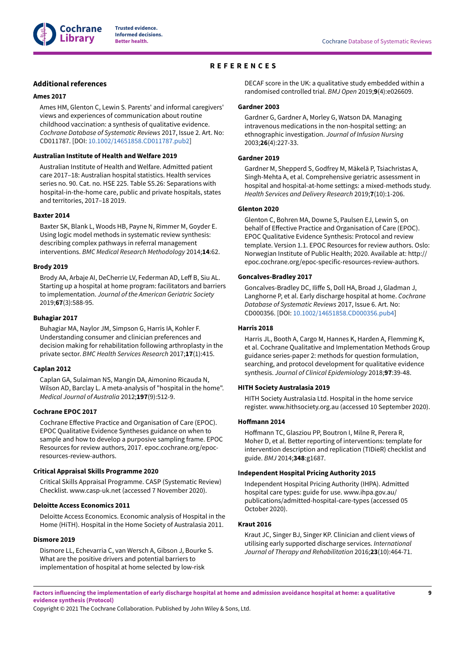

# **REFERENCES**

# <span id="page-10-0"></span>**Additional references**

#### <span id="page-10-16"></span>**Ames 2017**

Ames HM, Glenton C, Lewin S. Parents' and informal caregivers' views and experiences of communication about routine childhood vaccination: a synthesis of qualitative evidence. *Cochrane Database of Systematic Reviews* 2017, Issue 2. Art. No: CD011787. [DOI: [10.1002/14651858.CD011787.pub2\]](https://doi.org/10.1002%2F14651858.CD011787.pub2)

#### <span id="page-10-10"></span>**Australian Institute of Health and Welfare 2019**

Australian Institute of Health and Welfare. Admitted patient care 2017–18: Australian hospital statistics. Health services series no. 90. Cat. no. HSE 225. Table S5.26: Separations with hospital-in-the-home care, public and private hospitals, states and territories, 2017–18 2019.

#### <span id="page-10-3"></span>**Baxter 2014**

Baxter SK, Blank L, Woods HB, Payne N, Rimmer M, Goyder E. Using logic model methods in systematic review synthesis: describing complex pathways in referral management interventions. *BMC Medical Research Methodology* 2014;**14**:62.

#### <span id="page-10-7"></span>**Brody 2019**

Brody AA, Arbaje AI, DeCherrie LV, Federman AD, Leff B, Siu AL. Starting up a hospital at home program: facilitators and barriers to implementation. *Journal of the American Geriatric Society* 2019;**67**(3):588-95.

#### <span id="page-10-6"></span>**Buhagiar 2017**

Buhagiar MA, Naylor JM, Simpson G, Harris IA, Kohler F. Understanding consumer and clinician preferences and decision making for rehabilitation following arthroplasty in the private sector. *BMC Health Services Research* 2017;**17**(1):415.

#### <span id="page-10-1"></span>**Caplan 2012**

Caplan GA, Sulaiman NS, Mangin DA, Aimonino Ricauda N, Wilson AD, Barclay L. A meta-analysis of "hospital in the home". *Medical Journal of Australia* 2012;**197**(9):512-9.

#### <span id="page-10-17"></span>**Cochrane EPOC 2017**

Cochrane EFective Practice and Organisation of Care (EPOC). EPOC Qualitative Evidence Syntheses guidance on when to sample and how to develop a purposive sampling frame. EPOC Resources for review authors, 2017. epoc.cochrane.org/epocresources-review-authors.

#### <span id="page-10-19"></span>**Critical Appraisal Skills Programme 2020**

Critical Skills Appraisal Programme. CASP (Systematic Review) Checklist. www.casp-uk.net (accessed 7 November 2020).

#### <span id="page-10-12"></span>**Deloitte Access Economics 2011**

Deloitte Access Economics. Economic analysis of Hospital in the Home (HiTH). Hospital in the Home Society of Australasia 2011.

#### <span id="page-10-8"></span>**Dismore 2019**

Dismore LL, Echevarria C, van Wersch A, Gibson J, Bourke S. What are the positive drivers and potential barriers to implementation of hospital at home selected by low-risk

DECAF score in the UK: a qualitative study embedded within a randomised controlled trial. *BMJ Open* 2019;**9**(4):e026609.

#### <span id="page-10-4"></span>**Gardner 2003**

Gardner G, Gardner A, Morley G, Watson DA. Managing intravenous medications in the non-hospital setting: an ethnographic investigation. *Journal of Infusion Nursing* 2003;**26**(4):227-33.

#### <span id="page-10-9"></span>**Gardner 2019**

Gardner M, Shepperd S, Godfrey M, Mäkelä P, Tsiachristas A, Singh-Mehta A, et al. Comprehensive geriatric assessment in hospital and hospital-at-home settings: a mixed-methods study. *Health Services and Delivery Research* 2019;**7**(10):1-206.

# <span id="page-10-11"></span>**Glenton 2020**

Glenton C, Bohren MA, Downe S, Paulsen EJ, Lewin S, on behalf of EFective Practice and Organisation of Care (EPOC). EPOC Qualitative Evidence Synthesis: Protocol and review template. Version 1.1. EPOC Resources for review authors. Oslo: Norwegian Institute of Public Health; 2020. Available at: http:// epoc.cochrane.org/epoc-specific-resources-review-authors.

#### <span id="page-10-2"></span>**Goncalves-Bradley 2017**

Goncalves-Bradley DC, IliFe S, Doll HA, Broad J, Gladman J, Langhorne P, et al. Early discharge hospital at home. *Cochrane Database of Systematic Reviews* 2017, Issue 6. Art. No: CD000356. [DOI: [10.1002/14651858.CD000356.pub4\]](https://doi.org/10.1002%2F14651858.CD000356.pub4)

# <span id="page-10-15"></span>**Harris 2018**

Harris JL, Booth A, Cargo M, Hannes K, Harden A, Flemming K, et al. Cochrane Qualitative and Implementation Methods Group guidance series-paper 2: methods for question formulation, searching, and protocol development for qualitative evidence synthesis. *Journal of Clinical Epidemiology* 2018;**97**:39-48.

### <span id="page-10-14"></span>**HITH Society Australasia 2019**

HITH Society Australasia Ltd. Hospital in the home service register. www.hithsociety.org.au (accessed 10 September 2020).

#### <span id="page-10-18"></span>**HoFmann 2014**

Hoffmann TC, Glasziou PP, Boutron I, Milne R, Perera R, Moher D, et al. Better reporting of interventions: template for intervention description and replication (TIDieR) checklist and guide. *BMJ* 2014;**348**:g1687.

#### <span id="page-10-13"></span>**Independent Hospital Pricing Authority 2015**

Independent Hospital Pricing Authority (IHPA). Admitted hospital care types: guide for use. www.ihpa.gov.au/ publications/admitted-hospital-care-types (accessed 05 October 2020).

# <span id="page-10-5"></span>**Kraut 2016**

Kraut JC, Singer BJ, Singer KP. Clinician and client views of utilising early supported discharge services. *International Journal of Therapy and Rehabilitation* 2016;**23**(10):464-71.

Factors influencing the implementation of early discharge hospital at home and admission avoidance hospital at home: a qualitative **evidence synthesis (Protocol)**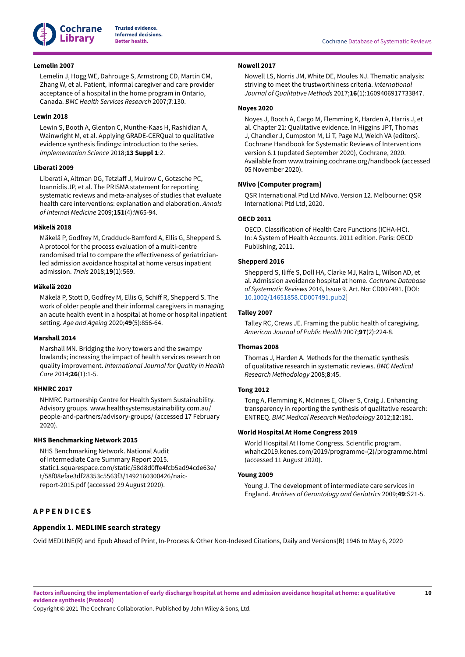

#### <span id="page-11-2"></span>**Lemelin 2007**

Lemelin J, Hogg WE, Dahrouge S, Armstrong CD, Martin CM, Zhang W, et al. Patient, informal caregiver and care provider acceptance of a hospital in the home program in Ontario, Canada. *BMC Health Services Research* 2007;**7**:130.

# <span id="page-11-18"></span>**Lewin 2018**

Lewin S, Booth A, Glenton C, Munthe-Kaas H, Rashidian A, Wainwright M, et al. Applying GRADE-CERQual to qualitative evidence synthesis findings: introduction to the series. *Implementation Science* 2018;**13 Suppl 1**:2.

#### <span id="page-11-13"></span>**Liberati 2009**

Liberati A, Altman DG, TetzlaF J, Mulrow C, Gotzsche PC, Ioannidis JP, et al. The PRISMA statement for reporting systematic reviews and meta-analyses of studies that evaluate health care interventions: explanation and elaboration. *Annals of Internal Medicine* 2009;**151**(4):W65-94.

#### <span id="page-11-3"></span>**Mäkelä 2018**

Mäkelä P, Godfrey M, Cradduck-Bamford A, Ellis G, Shepperd S. A protocol for the process evaluation of a multi-centre randomised trial to compare the effectiveness of geriatricianled admission avoidance hospital at home versus inpatient admission. *Trials* 2018;**19**(1):569.

#### <span id="page-11-9"></span>**Mäkelä 2020**

Mäkelä P, Stott D, Godfrey M, Ellis G, Schiff R, Shepperd S. The work of older people and their informal caregivers in managing an acute health event in a hospital at home or hospital inpatient setting. *Age and Ageing* 2020;**49**(5):856-64.

#### <span id="page-11-16"></span>**Marshall 2014**

Marshall MN. Bridging the ivory towers and the swampy lowlands; increasing the impact of health services research on quality improvement. *International Journal for Quality in Health Care* 2014;**26**(1):1-5.

# <span id="page-11-17"></span>**NHMRC 2017**

NHMRC Partnership Centre for Health System Sustainability. Advisory groups. www.healthsystemsustainability.com.au/ people-and-partners/advisory-groups/ (accessed 17 February 2020).

### <span id="page-11-5"></span>**NHS Benchmarking Network 2015**

NHS Benchmarking Network. National Audit of Intermediate Care Summary Report 2015. static1.squarespace.com/static/58d8d0Fe4fcb5ad94cde63e/ t/58f08efae3df28353c5563f3/1492160300426/naicreport-2015.pdf (accessed 29 August 2020).

# <span id="page-11-0"></span>**A P P E N D I C E S**

# <span id="page-11-12"></span>**Appendix 1. MEDLINE search strategy**

<span id="page-11-19"></span>**Nowell 2017**

Nowell LS, Norris JM, White DE, Moules NJ. Thematic analysis: striving to meet the trustworthiness criteria. *International Journal of Qualitative Methods* 2017;**16**(1):1609406917733847.

### <span id="page-11-10"></span>**Noyes 2020**

Noyes J, Booth A, Cargo M, Flemming K, Harden A, Harris J, et al. Chapter 21: Qualitative evidence. In Higgins JPT, Thomas J, Chandler J, Cumpston M, Li T, Page MJ, Welch VA (editors). Cochrane Handbook for Systematic Reviews of Interventions version 6.1 (updated September 2020), Cochrane, 2020. Available from www.training.cochrane.org/handbook (accessed 05 November 2020).

#### <span id="page-11-15"></span>**NVivo [Computer program]**

QSR International Ptd Ltd NVivo. Version 12. Melbourne: QSR International Ptd Ltd, 2020.

# <span id="page-11-7"></span>**OECD 2011**

OECD. Classification of Health Care Functions (ICHA-HC). In: A System of Health Accounts. 2011 edition. Paris: OECD Publishing, 2011.

#### <span id="page-11-1"></span>**Shepperd 2016**

Shepperd S, IliFe S, Doll HA, Clarke MJ, Kalra L, Wilson AD, et al. Admission avoidance hospital at home. *Cochrane Database of Systematic Reviews* 2016, Issue 9. Art. No: CD007491. [DOI: [10.1002/14651858.CD007491.pub2\]](https://doi.org/10.1002%2F14651858.CD007491.pub2)

#### <span id="page-11-8"></span>**Talley 2007**

Talley RC, Crews JE. Framing the public health of caregiving. *American Journal of Public Health* 2007;**97**(2):224-8.

#### <span id="page-11-14"></span>**Thomas 2008**

Thomas J, Harden A. Methods for the thematic synthesis of qualitative research in systematic reviews. *BMC Medical Research Methodology* 2008;**8**:45.

# <span id="page-11-6"></span>**Tong 2012**

Tong A, Flemming K, McInnes E, Oliver S, Craig J. Enhancing transparency in reporting the synthesis of qualitative research: ENTREQ. *BMC Medical Research Methodology* 2012;**12**:181.

#### <span id="page-11-11"></span>**World Hospital At Home Congress 2019**

World Hospital At Home Congress. Scientific program. whahc2019.kenes.com/2019/programme-(2)/programme.html (accessed 11 August 2020).

#### <span id="page-11-4"></span>**Young 2009**

Young J. The development of intermediate care services in England. *Archives of Gerontology and Geriatrics* 2009;**49**:S21-5.

Ovid MEDLINE(R) and Epub Ahead of Print, In-Process & Other Non-Indexed Citations, Daily and Versions(R) 1946 to May 6, 2020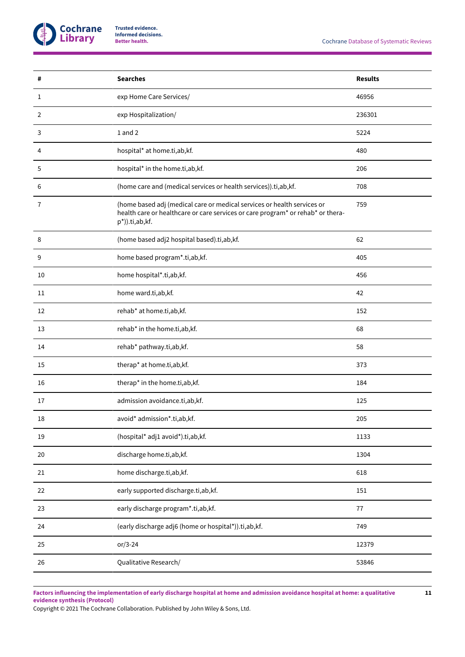

| #      | <b>Searches</b>                                                                                                                                                              | <b>Results</b> |
|--------|------------------------------------------------------------------------------------------------------------------------------------------------------------------------------|----------------|
| 1      | exp Home Care Services/                                                                                                                                                      | 46956          |
| 2      | exp Hospitalization/                                                                                                                                                         | 236301         |
| 3      | 1 and 2                                                                                                                                                                      | 5224           |
| 4      | hospital* at home.ti,ab,kf.                                                                                                                                                  | 480            |
| 5      | hospital* in the home.ti,ab,kf.                                                                                                                                              | 206            |
| 6      | (home care and (medical services or health services)).ti,ab,kf.                                                                                                              | 708            |
| 7      | (home based adj (medical care or medical services or health services or<br>health care or healthcare or care services or care program* or rehab* or thera-<br>p*)).ti,ab,kf. | 759            |
| 8      | (home based adj2 hospital based).ti,ab,kf.                                                                                                                                   | 62             |
| 9      | home based program*.ti,ab,kf.                                                                                                                                                | 405            |
| 10     | home hospital*.ti,ab,kf.                                                                                                                                                     | 456            |
| 11     | home ward.ti,ab,kf.                                                                                                                                                          | 42             |
| 12     | rehab* at home.ti,ab,kf.                                                                                                                                                     | 152            |
| 13     | rehab* in the home.ti,ab,kf.                                                                                                                                                 | 68             |
| 14     | rehab* pathway.ti,ab,kf.                                                                                                                                                     | 58             |
| 15     | therap* at home.ti,ab,kf.                                                                                                                                                    | 373            |
| 16     | therap* in the home.ti,ab,kf.                                                                                                                                                | 184            |
| 17     | admission avoidance.ti,ab,kf.                                                                                                                                                | 125            |
| 18     | avoid* admission*.ti,ab,kf.                                                                                                                                                  | 205            |
| 19     | (hospital* adj1 avoid*).ti,ab,kf.                                                                                                                                            | 1133           |
| $20\,$ | discharge home.ti,ab,kf.                                                                                                                                                     | 1304           |
| 21     | home discharge.ti,ab,kf.                                                                                                                                                     | 618            |
| 22     | early supported discharge.ti,ab,kf.                                                                                                                                          | 151            |
| 23     | early discharge program*.ti,ab,kf.                                                                                                                                           | 77             |
| 24     | (early discharge adj6 (home or hospital*)).ti,ab,kf.                                                                                                                         | 749            |
| 25     | $or/3-24$                                                                                                                                                                    | 12379          |
| 26     | Qualitative Research/                                                                                                                                                        | 53846          |

Factors influencing the implementation of early discharge hospital at home and admission avoidance hospital at home: a qualitative **evidence synthesis (Protocol)**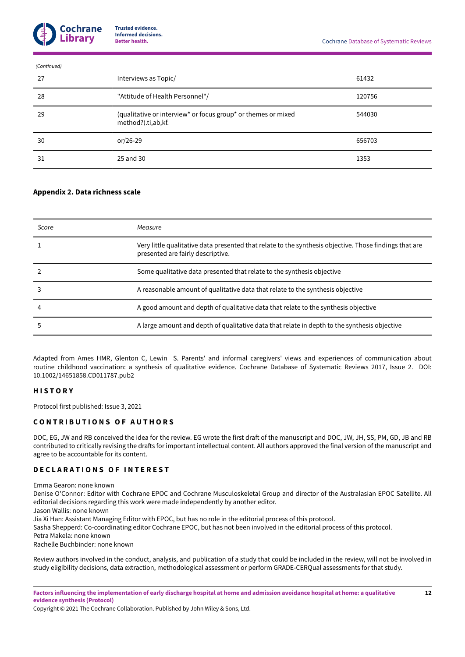| (Continued) |    |                                                                                     |        |  |
|-------------|----|-------------------------------------------------------------------------------------|--------|--|
|             | 27 | Interviews as Topic/                                                                | 61432  |  |
|             | 28 | "Attitude of Health Personnel"/                                                     | 120756 |  |
|             | 29 | (qualitative or interview* or focus group* or themes or mixed<br>method?).ti,ab,kf. | 544030 |  |
|             | 30 | or/26-29                                                                            | 656703 |  |
|             | 31 | 25 and 30                                                                           | 1353   |  |

# <span id="page-13-3"></span>**Appendix 2. Data richness scale**

| Score | Measure                                                                                                                                     |
|-------|---------------------------------------------------------------------------------------------------------------------------------------------|
|       | Very little qualitative data presented that relate to the synthesis objective. Those findings that are<br>presented are fairly descriptive. |
|       | Some qualitative data presented that relate to the synthesis objective                                                                      |
|       | A reasonable amount of qualitative data that relate to the synthesis objective                                                              |
|       | A good amount and depth of qualitative data that relate to the synthesis objective                                                          |
|       | A large amount and depth of qualitative data that relate in depth to the synthesis objective                                                |

Adapted from Ames HMR, Glenton C, Lewin S. Parents' and informal caregivers' views and experiences of communication about routine childhood vaccination: a synthesis of qualitative evidence. Cochrane Database of Systematic Reviews 2017, Issue 2. DOI: 10.1002/14651858.CD011787.pub2

# <span id="page-13-0"></span>**H I S T O R Y**

Protocol first published: Issue 3, 2021

# <span id="page-13-1"></span>**C O N T R I B U T I O N S O F A U T H O R S**

DOC, EG, JW and RB conceived the idea for the review. EG wrote the first draft of the manuscript and DOC, JW, JH, SS, PM, GD, JB and RB contributed to critically revising the drafts for important intellectual content. All authors approved the final version of the manuscript and agree to be accountable for its content.

# <span id="page-13-2"></span>**D E C L A R A T I O N S O F I N T E R E S T**

Emma Gearon: none known

Denise O'Connor: Editor with Cochrane EPOC and Cochrane Musculoskeletal Group and director of the Australasian EPOC Satellite. All editorial decisions regarding this work were made independently by another editor.

Jason Wallis: none known

Jia Xi Han: Assistant Managing Editor with EPOC, but has no role in the editorial process of this protocol.

Sasha Shepperd: Co-coordinating editor Cochrane EPOC, but has not been involved in the editorial process of this protocol.

Petra Makela: none known

Rachelle Buchbinder: none known

Review authors involved in the conduct, analysis, and publication of a study that could be included in the review, will not be involved in study eligibility decisions, data extraction, methodological assessment or perform GRADE-CERQual assessments for that study.